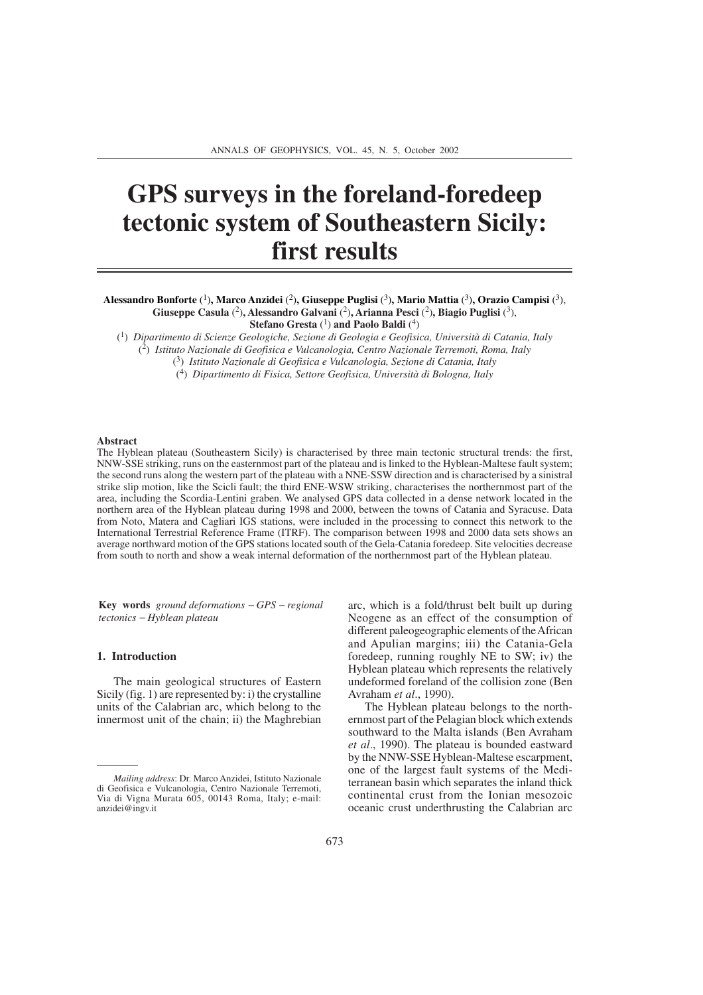# **GPS surveys in the foreland-foredeep tectonic system of Southeastern Sicily: first results**

## **Alessandro Bonforte** (1)**, Marco Anzidei** (2)**, Giuseppe Puglisi** (3)**, Mario Mattia** (3)**, Orazio Campisi** (3), **Giuseppe Casula** (2)**, Alessandro Galvani** (2)**, Arianna Pesci** (2)**, Biagio Puglisi** (3), **Stefano Gresta** (<sup>1</sup>) **and Paolo Baldi** (<sup>4</sup>)

(1) *Dipartimento di Scienze Geologiche, Sezione di Geologia e Geofisica, Università di Catania, Italy*

(2) *Istituto Nazionale di Geofisica e Vulcanologia, Centro Nazionale Terremoti, Roma, Italy*

(3) *Istituto Nazionale di Geofisica e Vulcanologia, Sezione di Catania, Italy*

(4) *Dipartimento di Fisica, Settore Geofisica, Università di Bologna, Italy*

#### **Abstract**

The Hyblean plateau (Southeastern Sicily) is characterised by three main tectonic structural trends: the first, NNW-SSE striking, runs on the easternmost part of the plateau and is linked to the Hyblean-Maltese fault system; the second runs along the western part of the plateau with a NNE-SSW direction and is characterised by a sinistral strike slip motion, like the Scicli fault; the third ENE-WSW striking, characterises the northernmost part of the area, including the Scordia-Lentini graben. We analysed GPS data collected in a dense network located in the northern area of the Hyblean plateau during 1998 and 2000, between the towns of Catania and Syracuse. Data from Noto, Matera and Cagliari IGS stations, were included in the processing to connect this network to the International Terrestrial Reference Frame (ITRF). The comparison between 1998 and 2000 data sets shows an average northward motion of the GPS stations located south of the Gela-Catania foredeep. Site velocities decrease from south to north and show a weak internal deformation of the northernmost part of the Hyblean plateau.

**Key words** *ground deformations* − *GPS* − *regional tectonics* − *Hyblean plateau*

## **1. Introduction**

The main geological structures of Eastern Sicily (fig. 1) are represented by: i) the crystalline units of the Calabrian arc, which belong to the innermost unit of the chain; ii) the Maghrebian arc, which is a fold/thrust belt built up during Neogene as an effect of the consumption of different paleogeographic elements of the African and Apulian margins; iii) the Catania-Gela foredeep, running roughly NE to SW; iv) the Hyblean plateau which represents the relatively undeformed foreland of the collision zone (Ben Avraham *et al*., 1990).

The Hyblean plateau belongs to the northernmost part of the Pelagian block which extends southward to the Malta islands (Ben Avraham *et al*., 1990). The plateau is bounded eastward by the NNW-SSE Hyblean-Maltese escarpment, one of the largest fault systems of the Mediterranean basin which separates the inland thick continental crust from the Ionian mesozoic oceanic crust underthrusting the Calabrian arc

*Mailing address*: Dr. Marco Anzidei, Istituto Nazionale di Geofisica e Vulcanologia, Centro Nazionale Terremoti, Via di Vigna Murata 605, 00143 Roma, Italy; e-mail: anzidei@ingv.it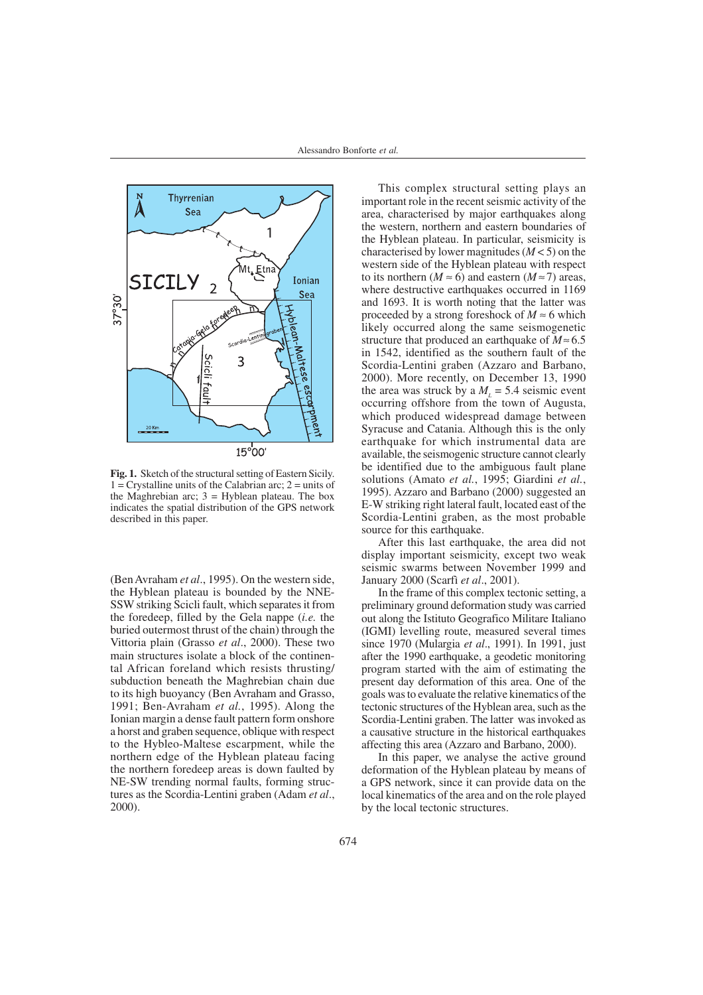



**Fig. 1.** Sketch of the structural setting of Eastern Sicily.  $1 =$  Crystalline units of the Calabrian arc;  $2 =$  units of the Maghrebian arc; 3 = Hyblean plateau. The box indicates the spatial distribution of the GPS network described in this paper.

(Ben Avraham *et al*., 1995). On the western side, the Hyblean plateau is bounded by the NNE-SSW striking Scicli fault, which separates it from the foredeep, filled by the Gela nappe (*i.e.* the buried outermost thrust of the chain) through the Vittoria plain (Grasso *et al*., 2000). These two main structures isolate a block of the continental African foreland which resists thrusting/ subduction beneath the Maghrebian chain due to its high buoyancy (Ben Avraham and Grasso, 1991; Ben-Avraham *et al.*, 1995). Along the Ionian margin a dense fault pattern form onshore a horst and graben sequence, oblique with respect to the Hybleo-Maltese escarpment, while the northern edge of the Hyblean plateau facing the northern foredeep areas is down faulted by NE-SW trending normal faults, forming structures as the Scordia-Lentini graben (Adam *et al*., 2000).

This complex structural setting plays an important role in the recent seismic activity of the area, characterised by major earthquakes along the western, northern and eastern boundaries of the Hyblean plateau. In particular, seismicity is characterised by lower magnitudes (*M* < 5) on the western side of the Hyblean plateau with respect to its northern ( $M \approx 6$ ) and eastern ( $M \approx 7$ ) areas, where destructive earthquakes occurred in 1169 and 1693. It is worth noting that the latter was proceeded by a strong foreshock of  $M \approx 6$  which likely occurred along the same seismogenetic structure that produced an earthquake of *M*≈ 6.5 in 1542, identified as the southern fault of the Scordia-Lentini graben (Azzaro and Barbano, 2000). More recently, on December 13, 1990 the area was struck by a  $M<sub>L</sub> = 5.4$  seismic event occurring offshore from the town of Augusta, which produced widespread damage between Syracuse and Catania. Although this is the only earthquake for which instrumental data are available, the seismogenic structure cannot clearly be identified due to the ambiguous fault plane solutions (Amato *et al.*, 1995; Giardini *et al.*, 1995). Azzaro and Barbano (2000) suggested an E-W striking right lateral fault, located east of the Scordia-Lentini graben, as the most probable source for this earthquake.

After this last earthquake, the area did not display important seismicity, except two weak seismic swarms between November 1999 and January 2000 (Scarfì *et al*., 2001).

In the frame of this complex tectonic setting, a preliminary ground deformation study was carried out along the Istituto Geografico Militare Italiano (IGMI) levelling route, measured several times since 1970 (Mulargia *et al*., 1991). In 1991, just after the 1990 earthquake, a geodetic monitoring program started with the aim of estimating the present day deformation of this area. One of the goals was to evaluate the relative kinematics of the tectonic structures of the Hyblean area, such as the Scordia-Lentini graben. The latter was invoked as a causative structure in the historical earthquakes affecting this area (Azzaro and Barbano, 2000).

In this paper, we analyse the active ground deformation of the Hyblean plateau by means of a GPS network, since it can provide data on the local kinematics of the area and on the role played by the local tectonic structures.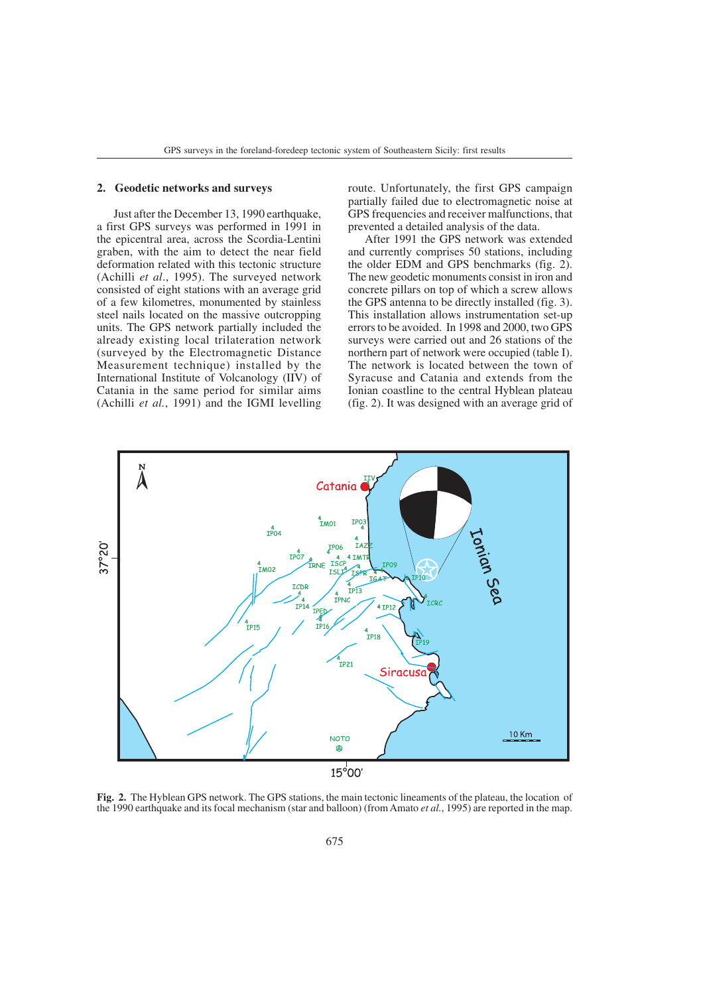### **2. Geodetic networks and surveys**

Just after the December 13, 1990 earthquake, a first GPS surveys was performed in 1991 in the epicentral area, across the Scordia-Lentini graben, with the aim to detect the near field deformation related with this tectonic structure (Achilli *et al*., 1995). The surveyed network consisted of eight stations with an average grid of a few kilometres, monumented by stainless steel nails located on the massive outcropping units. The GPS network partially included the already existing local trilateration network (surveyed by the Electromagnetic Distance Measurement technique) installed by the International Institute of Volcanology (IIV) of Catania in the same period for similar aims (Achilli *et al.*, 1991) and the IGMI levelling

route. Unfortunately, the first GPS campaign partially failed due to electromagnetic noise at GPS frequencies and receiver malfunctions, that prevented a detailed analysis of the data.

After 1991 the GPS network was extended and currently comprises 50 stations, including the older EDM and GPS benchmarks (fig. 2). The new geodetic monuments consist in iron and concrete pillars on top of which a screw allows the GPS antenna to be directly installed (fig. 3). This installation allows instrumentation set-up errors to be avoided. In 1998 and 2000, two GPS surveys were carried out and 26 stations of the northern part of network were occupied (table I). The network is located between the town of Syracuse and Catania and extends from the Ionian coastline to the central Hyblean plateau (fig. 2). It was designed with an average grid of



**Fig. 2.** The Hyblean GPS network. The GPS stations, the main tectonic lineaments of the plateau, the location of the 1990 earthquake and its focal mechanism (star and balloon) (from Amato *et al.*, 1995) are reported in the map.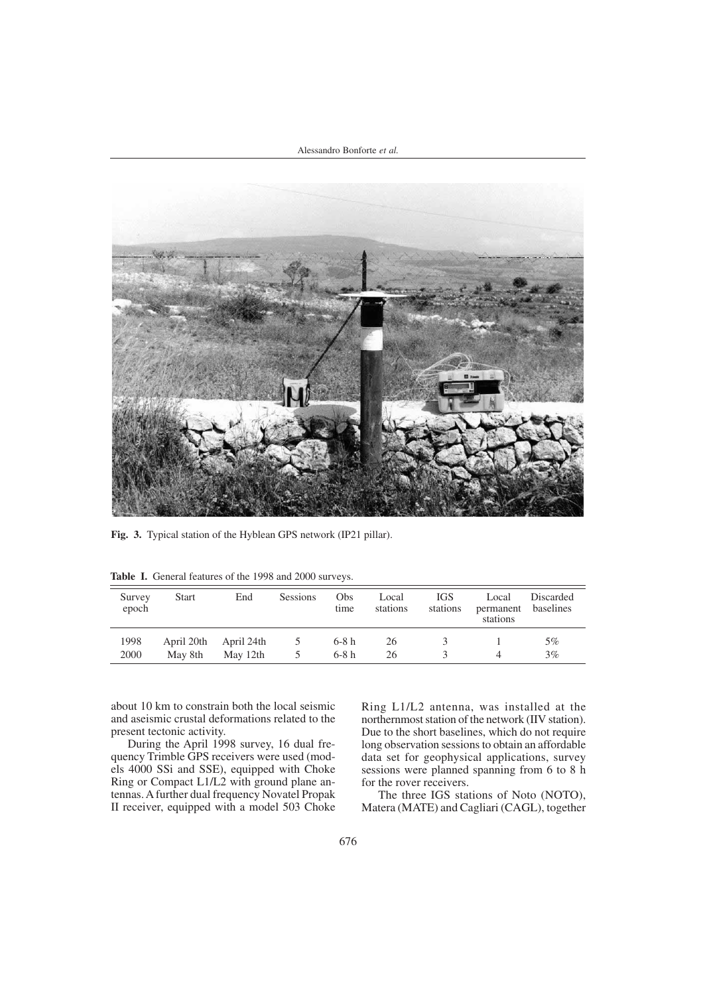Alessandro Bonforte *et al.*



**Fig. 3.** Typical station of the Hyblean GPS network (IP21 pillar).

| Survey<br>epoch | <b>Start</b>          | End                    | Sessions            | Obs<br>time      | Local<br>stations | <b>IGS</b><br>stations | Local<br>permanent<br>stations | Discarded<br>baselines |  |
|-----------------|-----------------------|------------------------|---------------------|------------------|-------------------|------------------------|--------------------------------|------------------------|--|
| 1998<br>2000    | April 20th<br>May 8th | April 24th<br>May 12th | $\mathcal{L}$<br>5. | $6-8h$<br>$6-8h$ | 26<br>26          |                        |                                | 5%<br>$3\%$            |  |

Table I. General features of the 1998 and 2000 surveys.

about 10 km to constrain both the local seismic and aseismic crustal deformations related to the present tectonic activity.

During the April 1998 survey, 16 dual frequency Trimble GPS receivers were used (models 4000 SSi and SSE), equipped with Choke Ring or Compact L1/L2 with ground plane antennas. A further dual frequency Novatel Propak II receiver, equipped with a model 503 Choke Ring L1/L2 antenna, was installed at the northernmost station of the network (IIV station). Due to the short baselines, which do not require long observation sessions to obtain an affordable data set for geophysical applications, survey sessions were planned spanning from 6 to 8 h for the rover receivers.

The three IGS stations of Noto (NOTO), Matera (MATE) and Cagliari (CAGL), together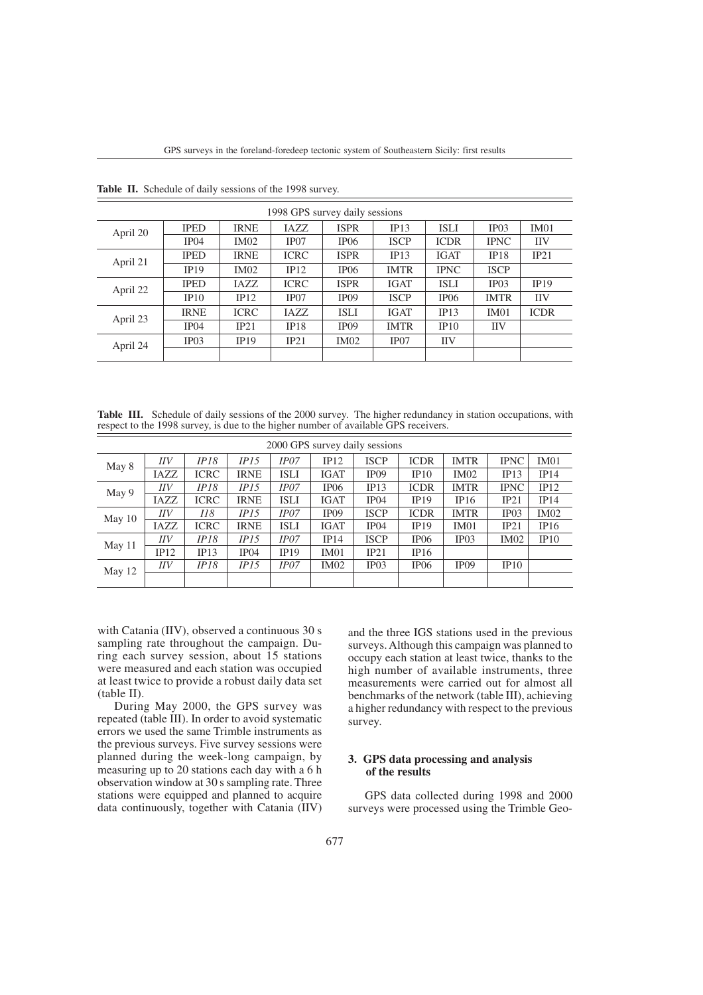| 1998 GPS survey daily sessions |             |             |             |                  |             |             |                  |             |
|--------------------------------|-------------|-------------|-------------|------------------|-------------|-------------|------------------|-------------|
| April 20                       | <b>IPED</b> | <b>IRNE</b> | IAZZ.       | <b>ISPR</b>      | IP13        | <b>ISLI</b> | IP <sub>03</sub> | IM01        |
|                                | IP04        | IM02        | IP07        | IP06             | <b>ISCP</b> | <b>ICDR</b> | <b>IPNC</b>      | <b>IIV</b>  |
|                                | <b>IPED</b> | <b>IRNE</b> | <b>ICRC</b> | <b>ISPR</b>      | IP13        | <b>IGAT</b> | <b>IP18</b>      | IP21        |
| April 21                       | IP19        | IM02        | IP12        | IP06             | <b>IMTR</b> | <b>IPNC</b> | <b>ISCP</b>      |             |
| April 22                       | <b>IPED</b> | IAZZ.       | <b>ICRC</b> | <b>ISPR</b>      | <b>IGAT</b> | <b>ISLI</b> | IP03             | IP19        |
|                                | IP10        | IP12        | IP07        | IP <sub>09</sub> | <b>ISCP</b> | IP06        | <b>IMTR</b>      | <b>IIV</b>  |
|                                | <b>IRNE</b> | <b>ICRC</b> | IAZZ.       | <b>ISLI</b>      | <b>IGAT</b> | IP13        | IM01             | <b>ICDR</b> |
| April 23                       | IP04        | IP21        | IP18        | IP09             | <b>IMTR</b> | IP10        | <b>IIV</b>       |             |
| April 24                       | IP03        | IP19        | IP21        | IM02             | IP07        | <b>IIV</b>  |                  |             |
|                                |             |             |             |                  |             |             |                  |             |

**Table II.** Schedule of daily sessions of the 1998 survey.

Table III. Schedule of daily sessions of the 2000 survey. The higher redundancy in station occupations, with respect to the 1998 survey, is due to the higher number of available GPS receivers.

| 2000 GPS survey daily sessions |            |             |             |             |             |             |                  |             |             |             |
|--------------------------------|------------|-------------|-------------|-------------|-------------|-------------|------------------|-------------|-------------|-------------|
| May 8                          | <b>IIV</b> | IP18        | IP15        | IPO7        | IP12        | <b>ISCP</b> | <b>ICDR</b>      | <b>IMTR</b> | <b>IPNC</b> | IM01        |
|                                | IAZZ       | <b>ICRC</b> | <b>IRNE</b> | <b>ISLI</b> | <b>IGAT</b> | IP09        | IP10             | IM02        | IP13        | IP14        |
| May 9                          | <b>IIV</b> | <i>IP18</i> | IP15        | IP07        | IP06        | IP13        | <b>ICDR</b>      | <b>IMTR</b> | <b>IPNC</b> | IP12        |
|                                | IAZZ       | <b>ICRC</b> | <b>IRNE</b> | ISLI        | <b>IGAT</b> | IP04        | IP19             | IP16        | IP21        | IP14        |
| May 10                         | <b>IIV</b> | II8         | IP15        | IPO7        | IP09        | <b>ISCP</b> | <b>ICDR</b>      | <b>IMTR</b> | IP03        | <b>IM02</b> |
|                                | IAZZ       | <b>ICRC</b> | <b>IRNE</b> | ISLI        | <b>IGAT</b> | IP04        | IP19             | IM01        | IP21        | IP16        |
| May $11$                       | <b>IIV</b> | <i>IP18</i> | IP15        | IPO7        | IP14        | <b>ISCP</b> | IP <sub>06</sub> | IP03        | IM02        | IP10        |
|                                | IP12       | IP13        | IP04        | IP19        | IM01        | IP21        | IP16             |             |             |             |
| May 12                         | IIV        | IP18        | IP15        | IPO7        | IM02        | IP03        | IP <sub>06</sub> | IP09        | IP10        |             |
|                                |            |             |             |             |             |             |                  |             |             |             |

with Catania (IIV), observed a continuous 30 s sampling rate throughout the campaign. During each survey session, about 15 stations were measured and each station was occupied at least twice to provide a robust daily data set (table II).

During May 2000, the GPS survey was repeated (table III). In order to avoid systematic errors we used the same Trimble instruments as the previous surveys. Five survey sessions were planned during the week-long campaign, by measuring up to 20 stations each day with a 6 h observation window at 30 s sampling rate. Three stations were equipped and planned to acquire data continuously, together with Catania (IIV) and the three IGS stations used in the previous surveys. Although this campaign was planned to occupy each station at least twice, thanks to the high number of available instruments, three measurements were carried out for almost all benchmarks of the network (table III), achieving a higher redundancy with respect to the previous survey.

## **3. GPS data processing and analysis of the results**

GPS data collected during 1998 and 2000 surveys were processed using the Trimble Geo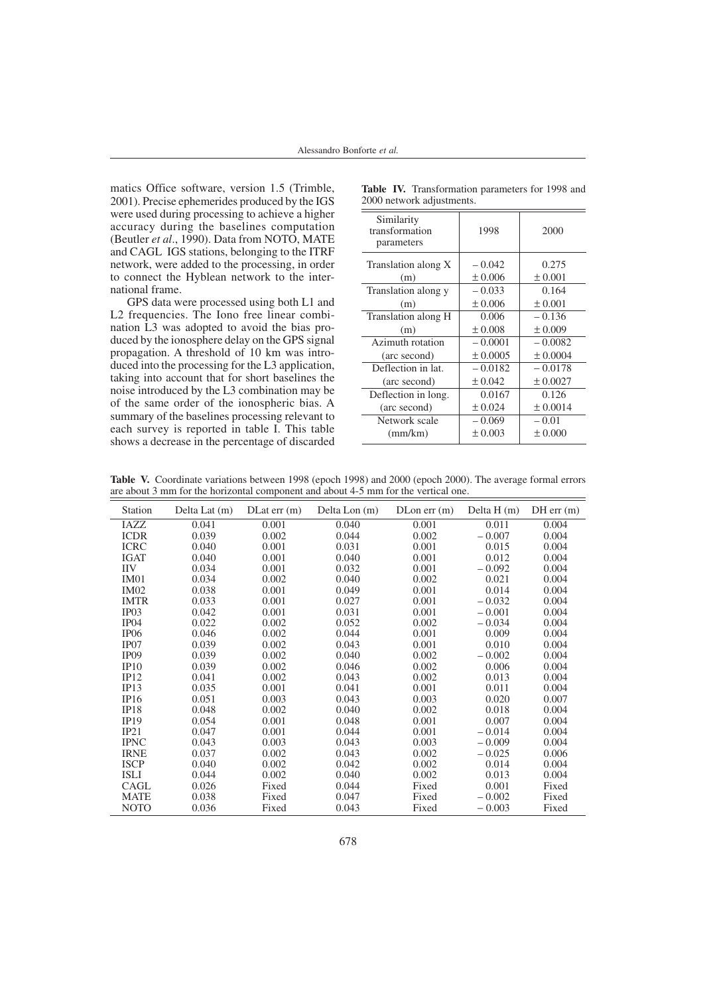matics Office software, version 1.5 (Trimble, 2001). Precise ephemerides produced by the IGS were used during processing to achieve a higher accuracy during the baselines computation (Beutler *et al*., 1990). Data from NOTO, MATE and CAGL IGS stations, belonging to the ITRF network, were added to the processing, in order to connect the Hyblean network to the international frame.

GPS data were processed using both L1 and L2 frequencies. The Iono free linear combination L3 was adopted to avoid the bias produced by the ionosphere delay on the GPS signal propagation. A threshold of 10 km was introduced into the processing for the L3 application, taking into account that for short baselines the noise introduced by the L3 combination may be of the same order of the ionospheric bias. A summary of the baselines processing relevant to each survey is reported in table I. This table shows a decrease in the percentage of discarded

| $2000$ network automonies.                 |           |             |  |  |  |  |
|--------------------------------------------|-----------|-------------|--|--|--|--|
| Similarity<br>transformation<br>parameters | 1998      | 2000        |  |  |  |  |
| Translation along X                        | $-0.042$  | 0.275       |  |  |  |  |
| (m)                                        | ± 0.006   | $\pm 0.001$ |  |  |  |  |
| Translation along y                        | $-0.033$  | 0.164       |  |  |  |  |
| (m)                                        | ± 0.006   | $\pm 0.001$ |  |  |  |  |
| Translation along H                        | 0.006     | $-0.136$    |  |  |  |  |
| (m)                                        | ± 0.008   | ± 0.009     |  |  |  |  |
| Azimuth rotation                           | $-0.0001$ | $-0.0082$   |  |  |  |  |
| (arc second)                               | ± 0.0005  | ± 0.0004    |  |  |  |  |
| Deflection in lat.                         | $-0.0182$ | $-0.0178$   |  |  |  |  |
| (arc second)                               | ± 0.042   | ± 0.0027    |  |  |  |  |
| Deflection in long.                        | 0.0167    | 0.126       |  |  |  |  |
| (arc second)                               | ± 0.024   | ± 0.0014    |  |  |  |  |
| Network scale                              | $-0.069$  | $-0.01$     |  |  |  |  |
| (mm/km)                                    | ± 0.003   | ± 0.000     |  |  |  |  |
|                                            |           |             |  |  |  |  |

Table IV. Transformation parameters for 1998 and 2000 network adjustments.

**Table V.** Coordinate variations between 1998 (epoch 1998) and 2000 (epoch 2000). The average formal errors are about 3 mm for the horizontal component and about 4-5 mm for the vertical one.

| <b>Station</b>   | Delta Lat (m) | $DLat$ err $(m)$ | Delta Lon (m) | $D$ Lon err $(m)$ | Delta $H(m)$ | $DH$ err $(m)$ |
|------------------|---------------|------------------|---------------|-------------------|--------------|----------------|
| IAZZ             | 0.041         | 0.001            | 0.040         | 0.001             | 0.011        | 0.004          |
| <b>ICDR</b>      | 0.039         | 0.002            | 0.044         | 0.002             | $-0.007$     | 0.004          |
| <b>ICRC</b>      | 0.040         | 0.001            | 0.031         | 0.001             | 0.015        | 0.004          |
| <b>IGAT</b>      | 0.040         | 0.001            | 0.040         | 0.001             | 0.012        | 0.004          |
| <b>IIV</b>       | 0.034         | 0.001            | 0.032         | 0.001             | $-0.092$     | 0.004          |
| IM01             | 0.034         | 0.002            | 0.040         | 0.002             | 0.021        | 0.004          |
| IM02             | 0.038         | 0.001            | 0.049         | 0.001             | 0.014        | 0.004          |
| <b>IMTR</b>      | 0.033         | 0.001            | 0.027         | 0.001             | $-0.032$     | 0.004          |
| IP03             | 0.042         | 0.001            | 0.031         | 0.001             | $-0.001$     | 0.004          |
| IP04             | 0.022         | 0.002            | 0.052         | 0.002             | $-0.034$     | 0.004          |
| IP <sub>06</sub> | 0.046         | 0.002            | 0.044         | 0.001             | 0.009        | 0.004          |
| IP <sub>07</sub> | 0.039         | 0.002            | 0.043         | 0.001             | 0.010        | 0.004          |
| IP09             | 0.039         | 0.002            | 0.040         | 0.002             | $-0.002$     | 0.004          |
| IP10             | 0.039         | 0.002            | 0.046         | 0.002             | 0.006        | 0.004          |
| IP12             | 0.041         | 0.002            | 0.043         | 0.002             | 0.013        | 0.004          |
| IP13             | 0.035         | 0.001            | 0.041         | 0.001             | 0.011        | 0.004          |
| IP16             | 0.051         | 0.003            | 0.043         | 0.003             | 0.020        | 0.007          |
| <b>IP18</b>      | 0.048         | 0.002            | 0.040         | 0.002             | 0.018        | 0.004          |
| IP19             | 0.054         | 0.001            | 0.048         | 0.001             | 0.007        | 0.004          |
| IP21             | 0.047         | 0.001            | 0.044         | 0.001             | $-0.014$     | 0.004          |
| <b>IPNC</b>      | 0.043         | 0.003            | 0.043         | 0.003             | $-0.009$     | 0.004          |
| <b>IRNE</b>      | 0.037         | 0.002            | 0.043         | 0.002             | $-0.025$     | 0.006          |
| <b>ISCP</b>      | 0.040         | 0.002            | 0.042         | 0.002             | 0.014        | 0.004          |
| <b>ISLI</b>      | 0.044         | 0.002            | 0.040         | 0.002             | 0.013        | 0.004          |
| CAGL             | 0.026         | Fixed            | 0.044         | Fixed             | 0.001        | Fixed          |
| <b>MATE</b>      | 0.038         | Fixed            | 0.047         | Fixed             | $-0.002$     | Fixed          |
| <b>NOTO</b>      | 0.036         | Fixed            | 0.043         | Fixed             | $-0.003$     | Fixed          |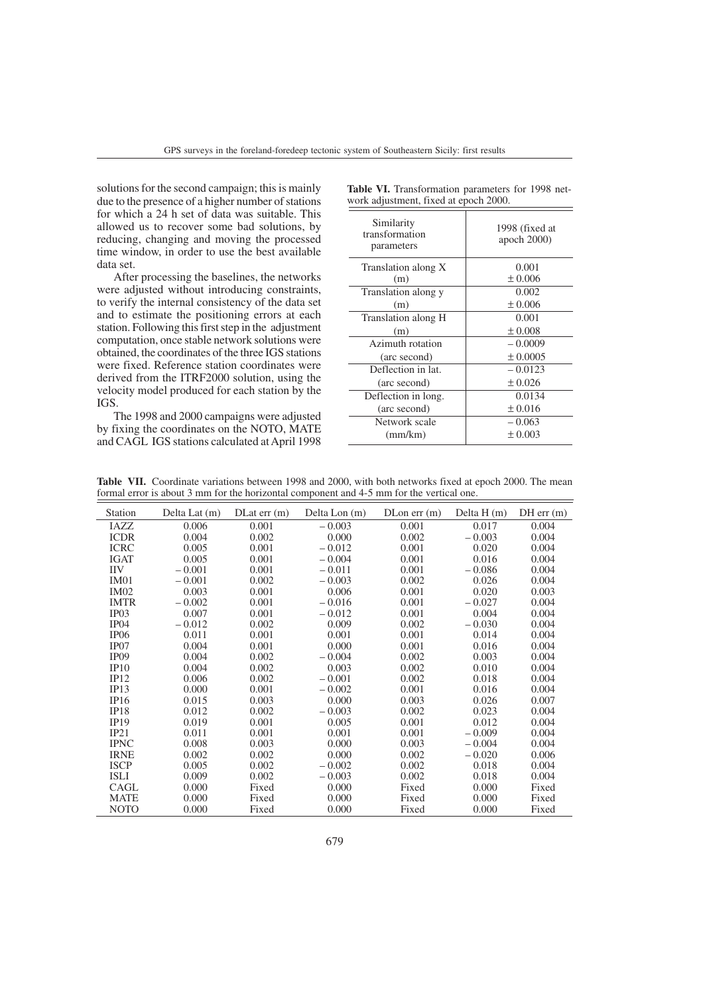solutions for the second campaign; this is mainly due to the presence of a higher number of stations for which a 24 h set of data was suitable. This allowed us to recover some bad solutions, by reducing, changing and moving the processed time window, in order to use the best available data set.

After processing the baselines, the networks were adjusted without introducing constraints, to verify the internal consistency of the data set and to estimate the positioning errors at each station. Following this first step in the adjustment computation, once stable network solutions were obtained, the coordinates of the three IGS stations were fixed. Reference station coordinates were derived from the ITRF2000 solution, using the velocity model produced for each station by the IGS.

The 1998 and 2000 campaigns were adjusted by fixing the coordinates on the NOTO, MATE and CAGL IGS stations calculated at April 1998

| Similarity<br>transformation<br>parameters | 1998 (fixed at<br>apoch 2000) |
|--------------------------------------------|-------------------------------|
| Translation along X                        | 0.001                         |
| (m)                                        | ± 0.006                       |
| Translation along y                        | 0.002                         |
| (m)                                        | ± 0.006                       |
| Translation along H                        | 0.001                         |
| (m)                                        | ± 0.008                       |
| Azimuth rotation                           | $-0.0009$                     |
| (arc second)                               | ± 0.0005                      |
| Deflection in lat.                         | $-0.0123$                     |
| (arc second)                               | ± 0.026                       |
| Deflection in long.                        | 0.0134                        |
| (arc second)                               | ± 0.016                       |
| Network scale                              | $-0.063$                      |
| (mm/km)                                    | ± 0.003                       |
|                                            |                               |

Table VI. Transformation parameters for 1998 network adjustment, fixed at epoch 2000

Table VII. Coordinate variations between 1998 and 2000, with both networks fixed at epoch 2000. The mean formal error is about 3 mm for the horizontal component and 4-5 mm for the vertical one.

| Station          | Delta Lat (m) | $DLat$ err $(m)$ | Delta Lon (m) | $D$ Lon err $(m)$ | Delta $H(m)$ | $DH$ err $(m)$ |
|------------------|---------------|------------------|---------------|-------------------|--------------|----------------|
| IAZZ             | 0.006         | 0.001            | $-0.003$      | 0.001             | 0.017        | 0.004          |
| <b>ICDR</b>      | 0.004         | 0.002            | 0.000         | 0.002             | $-0.003$     | 0.004          |
| <b>ICRC</b>      | 0.005         | 0.001            | $-0.012$      | 0.001             | 0.020        | 0.004          |
| <b>IGAT</b>      | 0.005         | 0.001            | $-0.004$      | 0.001             | 0.016        | 0.004          |
| <b>IIV</b>       | $-0.001$      | 0.001            | $-0.011$      | 0.001             | $-0.086$     | 0.004          |
| <b>IM01</b>      | $-0.001$      | 0.002            | $-0.003$      | 0.002             | 0.026        | 0.004          |
| IMO2             | 0.003         | 0.001            | 0.006         | 0.001             | 0.020        | 0.003          |
| <b>IMTR</b>      | $-0.002$      | 0.001            | $-0.016$      | 0.001             | $-0.027$     | 0.004          |
| IP03             | 0.007         | 0.001            | $-0.012$      | 0.001             | 0.004        | 0.004          |
| IP <sub>04</sub> | $-0.012$      | 0.002            | 0.009         | 0.002             | $-0.030$     | 0.004          |
| IP <sub>06</sub> | 0.011         | 0.001            | 0.001         | 0.001             | 0.014        | 0.004          |
| IP <sub>07</sub> | 0.004         | 0.001            | 0.000         | 0.001             | 0.016        | 0.004          |
| <b>IP09</b>      | 0.004         | 0.002            | $-0.004$      | 0.002             | 0.003        | 0.004          |
| IP10             | 0.004         | 0.002            | 0.003         | 0.002             | 0.010        | 0.004          |
| IP12             | 0.006         | 0.002            | $-0.001$      | 0.002             | 0.018        | 0.004          |
| IP13             | 0.000         | 0.001            | $-0.002$      | 0.001             | 0.016        | 0.004          |
| IP16             | 0.015         | 0.003            | 0.000         | 0.003             | 0.026        | 0.007          |
| <b>IP18</b>      | 0.012         | 0.002            | $-0.003$      | 0.002             | 0.023        | 0.004          |
| IP19             | 0.019         | 0.001            | 0.005         | 0.001             | 0.012        | 0.004          |
| IP21             | 0.011         | 0.001            | 0.001         | 0.001             | $-0.009$     | 0.004          |
| <b>IPNC</b>      | 0.008         | 0.003            | 0.000         | 0.003             | $-0.004$     | 0.004          |
| <b>IRNE</b>      | 0.002         | 0.002            | 0.000         | 0.002             | $-0.020$     | 0.006          |
| <b>ISCP</b>      | 0.005         | 0.002            | $-0.002$      | 0.002             | 0.018        | 0.004          |
| <b>ISLI</b>      | 0.009         | 0.002            | $-0.003$      | 0.002             | 0.018        | 0.004          |
| CAGL             | 0.000         | Fixed            | 0.000         | Fixed             | 0.000        | Fixed          |
| <b>MATE</b>      | 0.000         | Fixed            | 0.000         | Fixed             | 0.000        | Fixed          |
| <b>NOTO</b>      | 0.000         | Fixed            | 0.000         | Fixed             | 0.000        | Fixed          |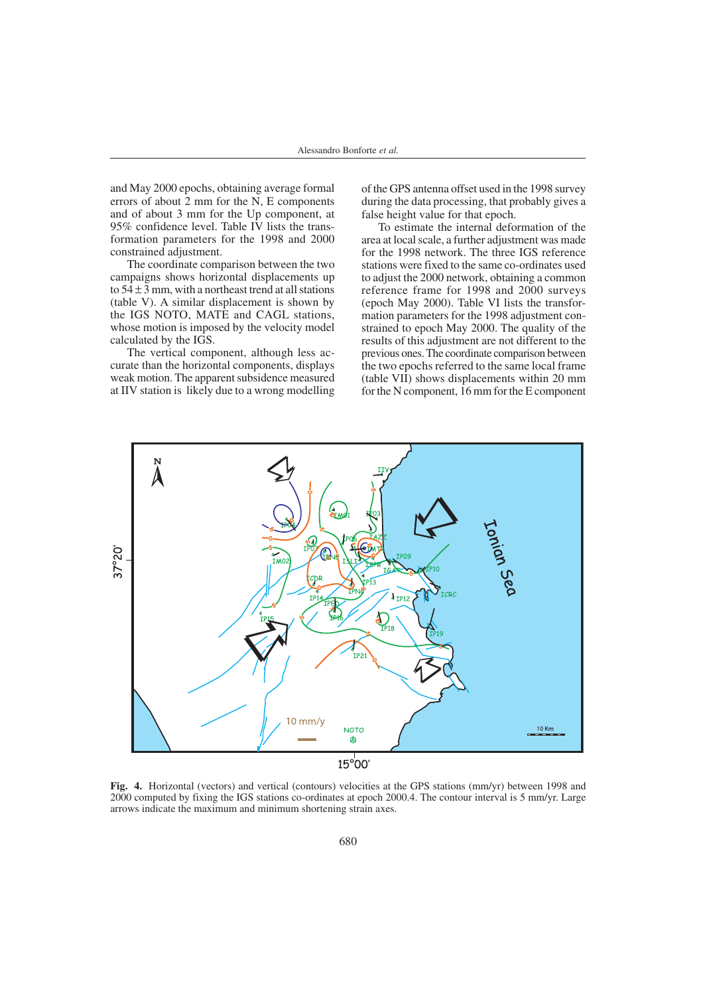and May 2000 epochs, obtaining average formal errors of about 2 mm for the N, E components and of about 3 mm for the Up component, at 95% confidence level. Table IV lists the transformation parameters for the 1998 and 2000 constrained adjustment.

The coordinate comparison between the two campaigns shows horizontal displacements up to  $54 \pm 3$  mm, with a northeast trend at all stations (table V). A similar displacement is shown by the IGS NOTO, MATE and CAGL stations, whose motion is imposed by the velocity model calculated by the IGS.

The vertical component, although less accurate than the horizontal components, displays weak motion. The apparent subsidence measured at IIV station is likely due to a wrong modelling of the GPS antenna offset used in the 1998 survey during the data processing, that probably gives a false height value for that epoch.

To estimate the internal deformation of the area at local scale, a further adjustment was made for the 1998 network. The three IGS reference stations were fixed to the same co-ordinates used to adjust the 2000 network, obtaining a common reference frame for 1998 and 2000 surveys (epoch May 2000). Table VI lists the transformation parameters for the 1998 adjustment constrained to epoch May 2000. The quality of the results of this adjustment are not different to the previous ones. The coordinate comparison between the two epochs referred to the same local frame (table VII) shows displacements within 20 mm for the N component, 16 mm for the E component



**Fig. 4.** Horizontal (vectors) and vertical (contours) velocities at the GPS stations (mm/yr) between 1998 and 2000 computed by fixing the IGS stations co-ordinates at epoch 2000.4. The contour interval is 5 mm/yr. Large arrows indicate the maximum and minimum shortening strain axes.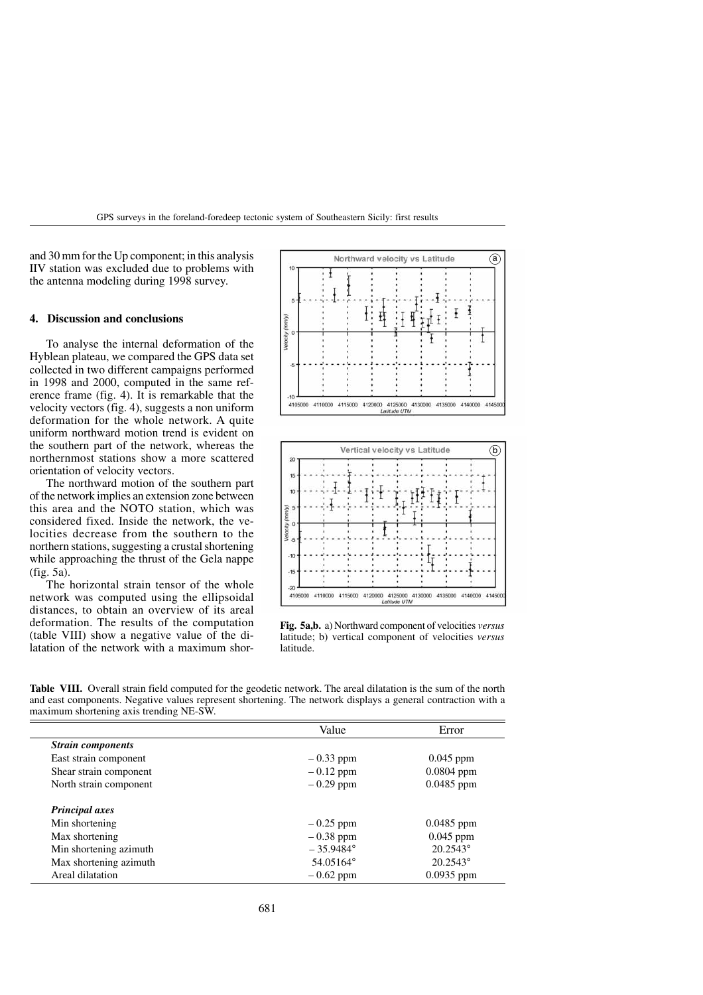GPS surveys in the foreland-foredeep tectonic system of Southeastern Sicily: first results

and 30 mm for the Up component; in this analysis IIV station was excluded due to problems with the antenna modeling during 1998 survey.

# **4. Discussion and conclusions**

To analyse the internal deformation of the Hyblean plateau, we compared the GPS data set collected in two different campaigns performed in 1998 and 2000, computed in the same reference frame (fig. 4). It is remarkable that the velocity vectors (fig. 4), suggests a non uniform deformation for the whole network. A quite uniform northward motion trend is evident on the southern part of the network, whereas the northernmost stations show a more scattered orientation of velocity vectors.

The northward motion of the southern part of the network implies an extension zone between this area and the NOTO station, which was considered fixed. Inside the network, the velocities decrease from the southern to the northern stations, suggesting a crustal shortening while approaching the thrust of the Gela nappe (fig. 5a).

The horizontal strain tensor of the whole network was computed using the ellipsoidal distances, to obtain an overview of its areal deformation. The results of the computation (table VIII) show a negative value of the dilatation of the network with a maximum shor-





**Fig. 5a,b.** a) Northward component of velocities *versus* latitude; b) vertical component of velocities *versus* latitude.

**Table VIII.** Overall strain field computed for the geodetic network. The areal dilatation is the sum of the north and east components. Negative values represent shortening. The network displays a general contraction with a maximum shortening axis trending NE-SW.

|                          | Value              | Error             |
|--------------------------|--------------------|-------------------|
| <b>Strain components</b> |                    |                   |
| East strain component    | $-0.33$ ppm        | $0.045$ ppm       |
| Shear strain component   | $-0.12$ ppm        | $0.0804$ ppm      |
| North strain component   | $-0.29$ ppm        | $0.0485$ ppm      |
| <b>Principal axes</b>    |                    |                   |
| Min shortening           | $-0.25$ ppm        | $0.0485$ ppm      |
| Max shortening           | $-0.38$ ppm        | $0.045$ ppm       |
| Min shortening azimuth   | $-35.9484^{\circ}$ | $20.2543^{\circ}$ |
| Max shortening azimuth   | 54.05164°          | $20.2543^{\circ}$ |
| Areal dilatation         | $-0.62$ ppm        | $0.0935$ ppm      |